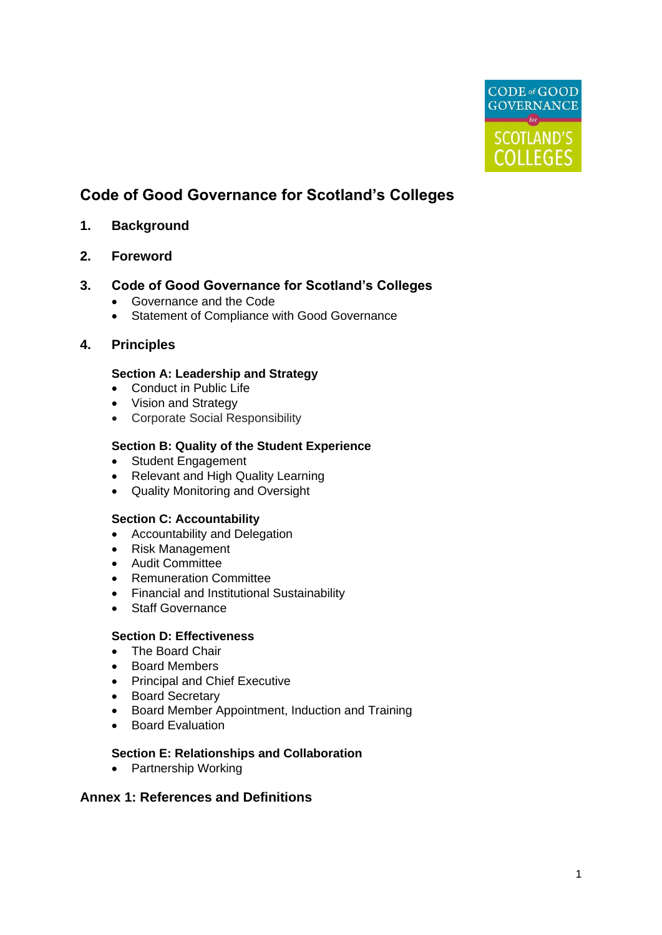

# **Code of Good Governance for Scotland's Colleges**

# **1. Background**

**2. Foreword**

# **3. Code of Good Governance for Scotland's Colleges**

- Governance and the Code
- Statement of Compliance with Good Governance

# **4. Principles**

#### **Section A: Leadership and Strategy**

- Conduct in Public Life
- Vision and Strategy
- Corporate Social Responsibility

# **Section B: Quality of the Student Experience**

- Student Engagement
- Relevant and High Quality Learning
- Quality Monitoring and Oversight

#### **Section C: Accountability**

- Accountability and Delegation
- Risk Management
- Audit Committee
- Remuneration Committee
- Financial and Institutional Sustainability
- Staff Governance

#### **Section D: Effectiveness**

- The Board Chair
- Board Members
- Principal and Chief Executive
- Board Secretary
- Board Member Appointment, Induction and Training
- Board Evaluation

# **Section E: Relationships and Collaboration**

• Partnership Working

# **Annex 1: References and Definitions**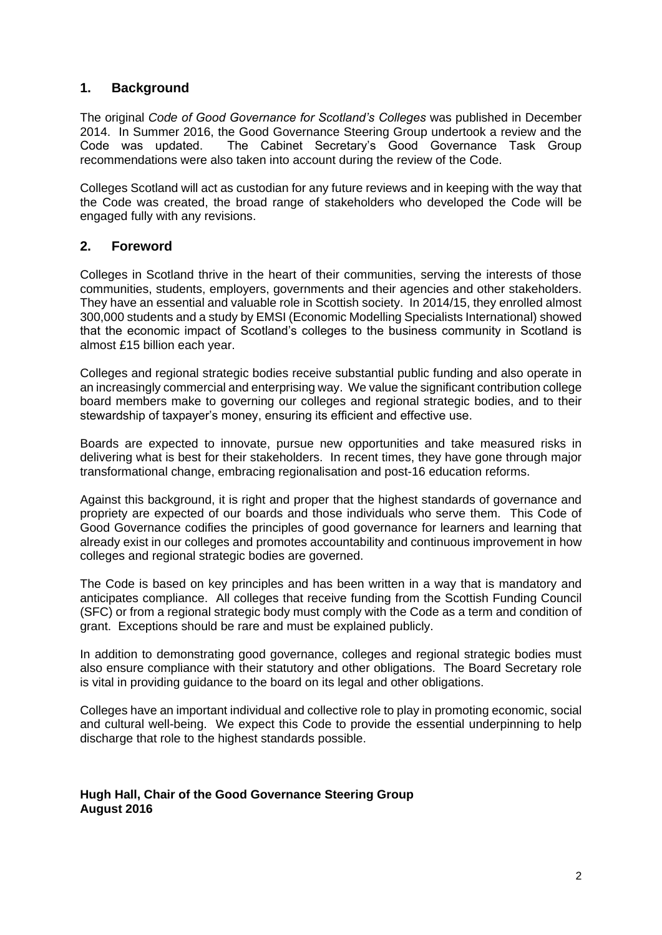# **1. Background**

The original *Code of Good Governance for Scotland's Colleges* was published in December 2014. In Summer 2016, the Good Governance Steering Group undertook a review and the Code was updated. The Cabinet Secretary's Good Governance Task Group recommendations were also taken into account during the review of the Code.

Colleges Scotland will act as custodian for any future reviews and in keeping with the way that the Code was created, the broad range of stakeholders who developed the Code will be engaged fully with any revisions.

# **2. Foreword**

Colleges in Scotland thrive in the heart of their communities, serving the interests of those communities, students, employers, governments and their agencies and other stakeholders. They have an essential and valuable role in Scottish society. In 2014/15, they enrolled almost 300,000 students and a study by EMSI (Economic Modelling Specialists International) showed that the economic impact of Scotland's colleges to the business community in Scotland is almost £15 billion each year.

Colleges and regional strategic bodies receive substantial public funding and also operate in an increasingly commercial and enterprising way. We value the significant contribution college board members make to governing our colleges and regional strategic bodies, and to their stewardship of taxpayer's money, ensuring its efficient and effective use.

Boards are expected to innovate, pursue new opportunities and take measured risks in delivering what is best for their stakeholders. In recent times, they have gone through major transformational change, embracing regionalisation and post-16 education reforms.

Against this background, it is right and proper that the highest standards of governance and propriety are expected of our boards and those individuals who serve them. This Code of Good Governance codifies the principles of good governance for learners and learning that already exist in our colleges and promotes accountability and continuous improvement in how colleges and regional strategic bodies are governed.

The Code is based on key principles and has been written in a way that is mandatory and anticipates compliance. All colleges that receive funding from the Scottish Funding Council (SFC) or from a regional strategic body must comply with the Code as a term and condition of grant. Exceptions should be rare and must be explained publicly.

In addition to demonstrating good governance, colleges and regional strategic bodies must also ensure compliance with their statutory and other obligations. The Board Secretary role is vital in providing guidance to the board on its legal and other obligations.

Colleges have an important individual and collective role to play in promoting economic, social and cultural well-being. We expect this Code to provide the essential underpinning to help discharge that role to the highest standards possible.

#### **Hugh Hall, Chair of the Good Governance Steering Group August 2016**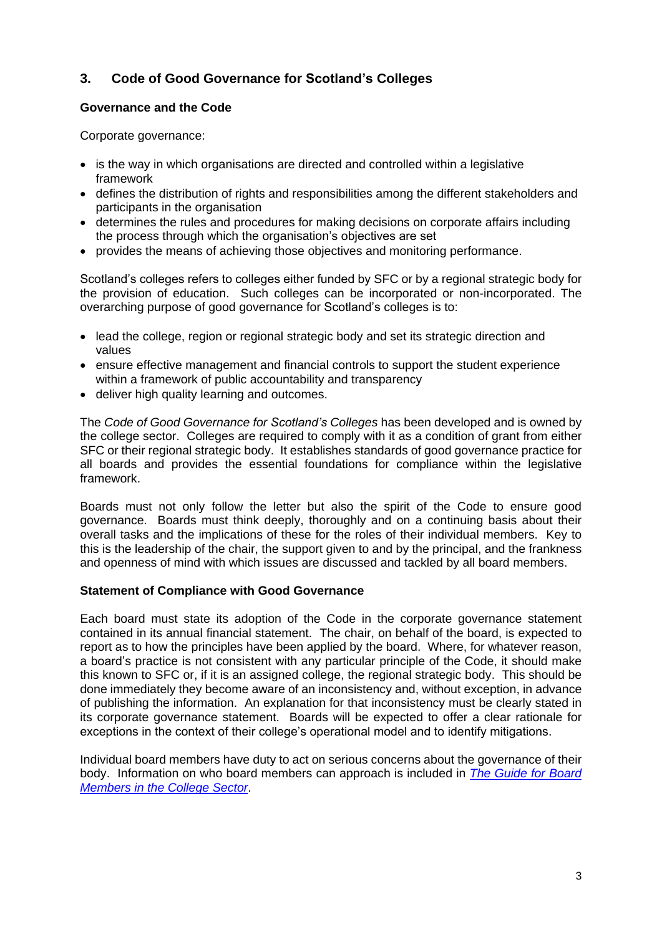# **3. Code of Good Governance for Scotland's Colleges**

# **Governance and the Code**

Corporate governance:

- is the way in which organisations are directed and controlled within a legislative framework
- defines the distribution of rights and responsibilities among the different stakeholders and participants in the organisation
- determines the rules and procedures for making decisions on corporate affairs including the process through which the organisation's objectives are set
- provides the means of achieving those objectives and monitoring performance.

Scotland's colleges refers to colleges either funded by SFC or by a regional strategic body for the provision of education. Such colleges can be incorporated or non-incorporated. The overarching purpose of good governance for Scotland's colleges is to:

- lead the college, region or regional strategic body and set its strategic direction and values
- ensure effective management and financial controls to support the student experience within a framework of public accountability and transparency
- deliver high quality learning and outcomes.

The *Code of Good Governance for Scotland's Colleges* has been developed and is owned by the college sector. Colleges are required to comply with it as a condition of grant from either SFC or their regional strategic body. It establishes standards of good governance practice for all boards and provides the essential foundations for compliance within the legislative framework.

Boards must not only follow the letter but also the spirit of the Code to ensure good governance. Boards must think deeply, thoroughly and on a continuing basis about their overall tasks and the implications of these for the roles of their individual members. Key to this is the leadership of the chair, the support given to and by the principal, and the frankness and openness of mind with which issues are discussed and tackled by all board members.

#### **Statement of Compliance with Good Governance**

Each board must state its adoption of the Code in the corporate governance statement contained in its annual financial statement. The chair, on behalf of the board, is expected to report as to how the principles have been applied by the board. Where, for whatever reason, a board's practice is not consistent with any particular principle of the Code, it should make this known to SFC or, if it is an assigned college, the regional strategic body. This should be done immediately they become aware of an inconsistency and, without exception, in advance of publishing the information. An explanation for that inconsistency must be clearly stated in its corporate governance statement. Boards will be expected to offer a clear rationale for exceptions in the context of their college's operational model and to identify mitigations.

Individual board members have duty to act on serious concerns about the governance of their body. Information on who board members can approach is included in *[The Guide for Board](http://www.collegedevelopmentnetwork.ac.uk/wp-content/uploads/2016/02/College-Board-Member-Guide-2015.pdf)  [Members in the College Sector](http://www.collegedevelopmentnetwork.ac.uk/wp-content/uploads/2016/02/College-Board-Member-Guide-2015.pdf)*.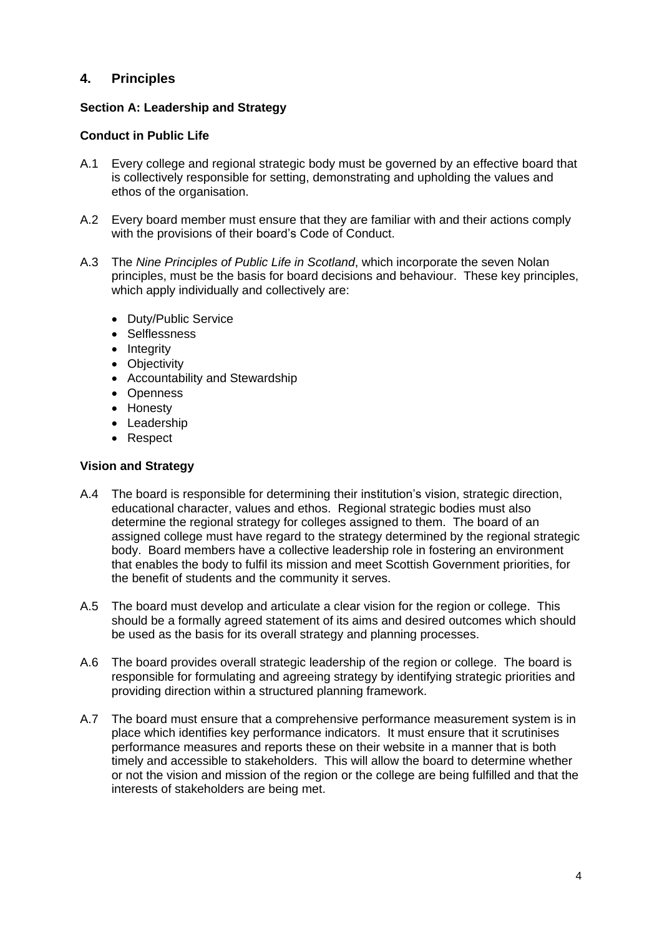# **4. Principles**

#### **Section A: Leadership and Strategy**

#### **Conduct in Public Life**

- A.1 Every college and regional strategic body must be governed by an effective board that is collectively responsible for setting, demonstrating and upholding the values and ethos of the organisation.
- A.2 Every board member must ensure that they are familiar with and their actions comply with the provisions of their board's Code of Conduct.
- A.3 The *Nine Principles of Public Life in Scotland*, which incorporate the seven Nolan principles, must be the basis for board decisions and behaviour. These key principles, which apply individually and collectively are:
	- Duty/Public Service
	- Selflessness
	- Integrity
	- Objectivity
	- Accountability and Stewardship
	- Openness
	- Honesty
	- Leadership
	- Respect

#### **Vision and Strategy**

- A.4 The board is responsible for determining their institution's vision, strategic direction, educational character, values and ethos. Regional strategic bodies must also determine the regional strategy for colleges assigned to them. The board of an assigned college must have regard to the strategy determined by the regional strategic body. Board members have a collective leadership role in fostering an environment that enables the body to fulfil its mission and meet Scottish Government priorities, for the benefit of students and the community it serves.
- A.5 The board must develop and articulate a clear vision for the region or college. This should be a formally agreed statement of its aims and desired outcomes which should be used as the basis for its overall strategy and planning processes.
- A.6 The board provides overall strategic leadership of the region or college. The board is responsible for formulating and agreeing strategy by identifying strategic priorities and providing direction within a structured planning framework.
- A.7 The board must ensure that a comprehensive performance measurement system is in place which identifies key performance indicators. It must ensure that it scrutinises performance measures and reports these on their website in a manner that is both timely and accessible to stakeholders. This will allow the board to determine whether or not the vision and mission of the region or the college are being fulfilled and that the interests of stakeholders are being met.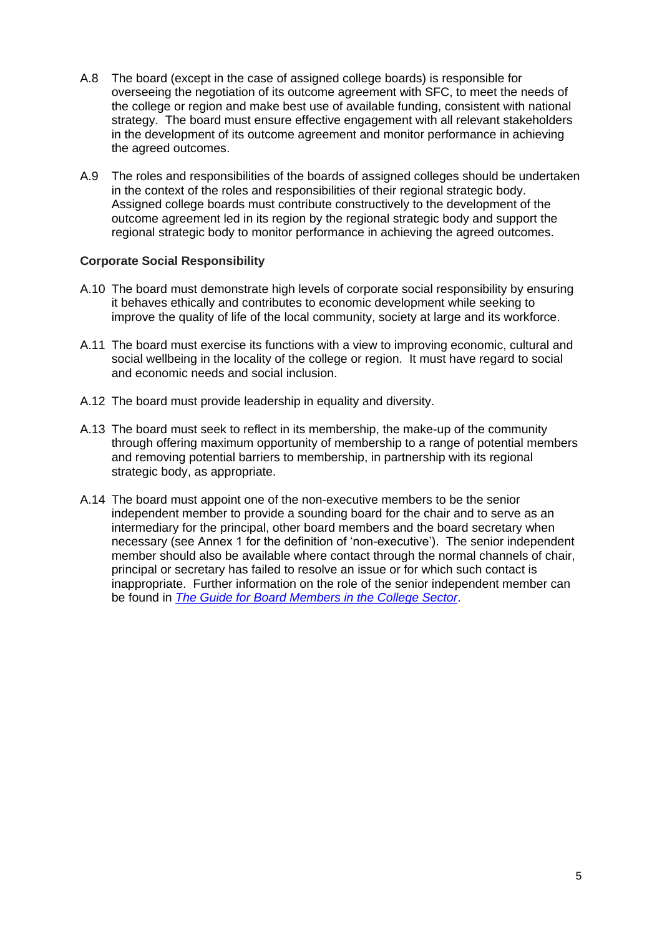- A.8 The board (except in the case of assigned college boards) is responsible for overseeing the negotiation of its outcome agreement with SFC, to meet the needs of the college or region and make best use of available funding, consistent with national strategy. The board must ensure effective engagement with all relevant stakeholders in the development of its outcome agreement and monitor performance in achieving the agreed outcomes.
- A.9 The roles and responsibilities of the boards of assigned colleges should be undertaken in the context of the roles and responsibilities of their regional strategic body. Assigned college boards must contribute constructively to the development of the outcome agreement led in its region by the regional strategic body and support the regional strategic body to monitor performance in achieving the agreed outcomes.

#### **Corporate Social Responsibility**

- A.10 The board must demonstrate high levels of corporate social responsibility by ensuring it behaves ethically and contributes to economic development while seeking to improve the quality of life of the local community, society at large and its workforce.
- A.11 The board must exercise its functions with a view to improving economic, cultural and social wellbeing in the locality of the college or region. It must have regard to social and economic needs and social inclusion.
- A.12 The board must provide leadership in equality and diversity.
- A.13 The board must seek to reflect in its membership, the make-up of the community through offering maximum opportunity of membership to a range of potential members and removing potential barriers to membership, in partnership with its regional strategic body, as appropriate.
- A.14 The board must appoint one of the non-executive members to be the senior independent member to provide a sounding board for the chair and to serve as an intermediary for the principal, other board members and the board secretary when necessary (see Annex 1 for the definition of 'non-executive'). The senior independent member should also be available where contact through the normal channels of chair, principal or secretary has failed to resolve an issue or for which such contact is inappropriate. Further information on the role of the senior independent member can be found in *[The Guide for Board Members in the College Sector](http://www.collegedevelopmentnetwork.ac.uk/wp-content/uploads/2016/02/College-Board-Member-Guide-2015.pdf)*.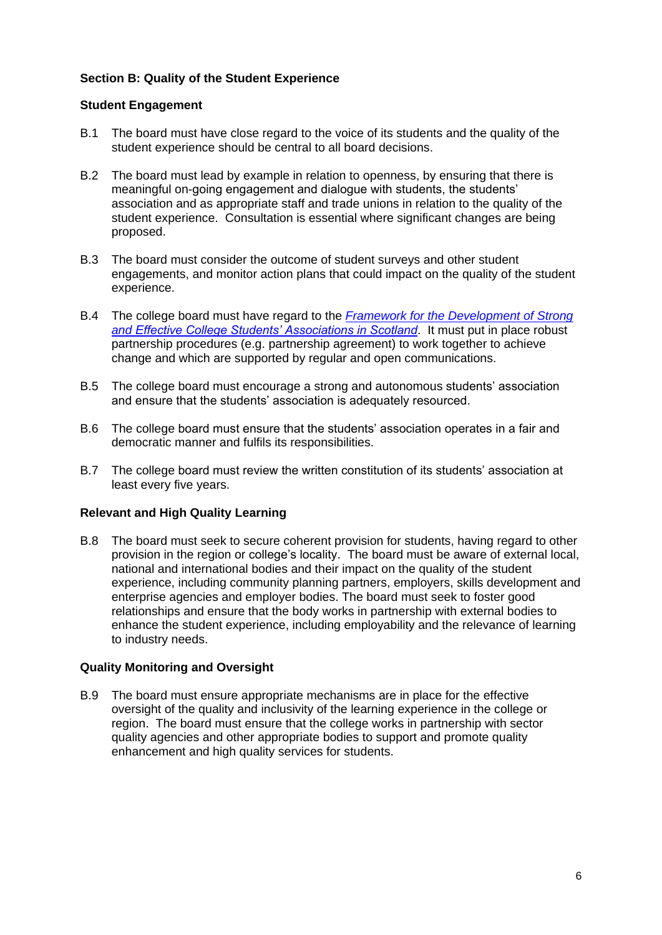# **Section B: Quality of the Student Experience**

#### **Student Engagement**

- B.1 The board must have close regard to the voice of its students and the quality of the student experience should be central to all board decisions.
- B.2 The board must lead by example in relation to openness, by ensuring that there is meaningful on-going engagement and dialogue with students, the students' association and as appropriate staff and trade unions in relation to the quality of the student experience. Consultation is essential where significant changes are being proposed.
- B.3 The board must consider the outcome of student surveys and other student engagements, and monitor action plans that could impact on the quality of the student experience.
- B.4 The college board must have regard to the *[Framework for the Development of Strong](http://www.saframework.co.uk/)  [and Effective College Students' Associations in Scotland](http://www.saframework.co.uk/)*. It must put in place robust partnership procedures (e.g. partnership agreement) to work together to achieve change and which are supported by regular and open communications.
- B.5 The college board must encourage a strong and autonomous students' association and ensure that the students' association is adequately resourced.
- B.6 The college board must ensure that the students' association operates in a fair and democratic manner and fulfils its responsibilities.
- B.7 The college board must review the written constitution of its students' association at least every five years.

#### **Relevant and High Quality Learning**

B.8 The board must seek to secure coherent provision for students, having regard to other provision in the region or college's locality. The board must be aware of external local, national and international bodies and their impact on the quality of the student experience, including community planning partners, employers, skills development and enterprise agencies and employer bodies. The board must seek to foster good relationships and ensure that the body works in partnership with external bodies to enhance the student experience, including employability and the relevance of learning to industry needs.

#### **Quality Monitoring and Oversight**

B.9 The board must ensure appropriate mechanisms are in place for the effective oversight of the quality and inclusivity of the learning experience in the college or region. The board must ensure that the college works in partnership with sector quality agencies and other appropriate bodies to support and promote quality enhancement and high quality services for students.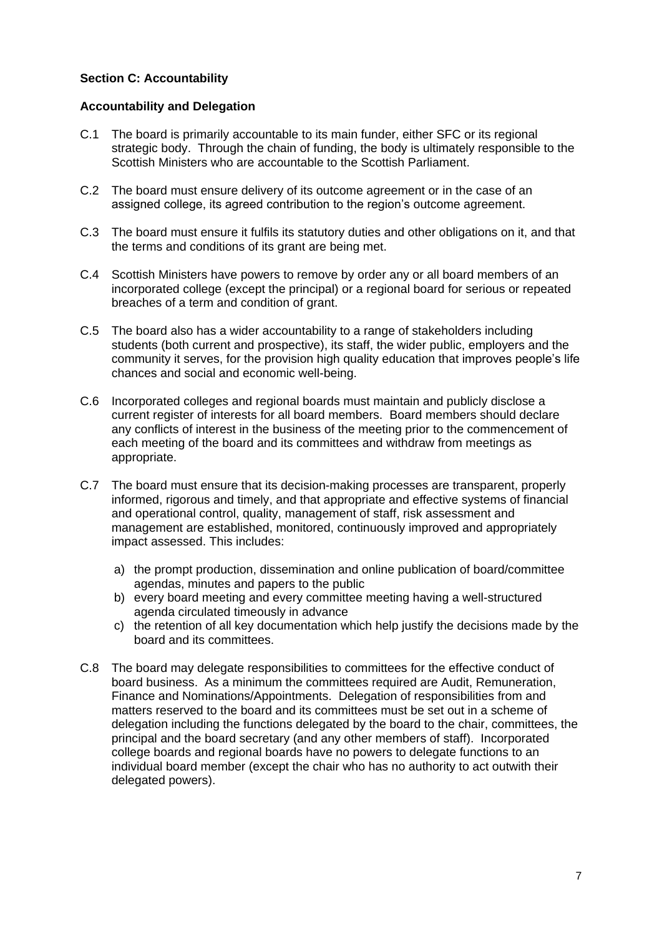# **Section C: Accountability**

#### **Accountability and Delegation**

- C.1 The board is primarily accountable to its main funder, either SFC or its regional strategic body. Through the chain of funding, the body is ultimately responsible to the Scottish Ministers who are accountable to the Scottish Parliament.
- C.2 The board must ensure delivery of its outcome agreement or in the case of an assigned college, its agreed contribution to the region's outcome agreement.
- C.3 The board must ensure it fulfils its statutory duties and other obligations on it, and that the terms and conditions of its grant are being met.
- C.4 Scottish Ministers have powers to remove by order any or all board members of an incorporated college (except the principal) or a regional board for serious or repeated breaches of a term and condition of grant.
- C.5 The board also has a wider accountability to a range of stakeholders including students (both current and prospective), its staff, the wider public, employers and the community it serves, for the provision high quality education that improves people's life chances and social and economic well-being.
- C.6 Incorporated colleges and regional boards must maintain and publicly disclose a current register of interests for all board members. Board members should declare any conflicts of interest in the business of the meeting prior to the commencement of each meeting of the board and its committees and withdraw from meetings as appropriate.
- C.7 The board must ensure that its decision-making processes are transparent, properly informed, rigorous and timely, and that appropriate and effective systems of financial and operational control, quality, management of staff, risk assessment and management are established, monitored, continuously improved and appropriately impact assessed. This includes:
	- a) the prompt production, dissemination and online publication of board/committee agendas, minutes and papers to the public
	- b) every board meeting and every committee meeting having a well-structured agenda circulated timeously in advance
	- c) the retention of all key documentation which help justify the decisions made by the board and its committees.
- C.8 The board may delegate responsibilities to committees for the effective conduct of board business. As a minimum the committees required are Audit, Remuneration, Finance and Nominations/Appointments. Delegation of responsibilities from and matters reserved to the board and its committees must be set out in a scheme of delegation including the functions delegated by the board to the chair, committees, the principal and the board secretary (and any other members of staff). Incorporated college boards and regional boards have no powers to delegate functions to an individual board member (except the chair who has no authority to act outwith their delegated powers).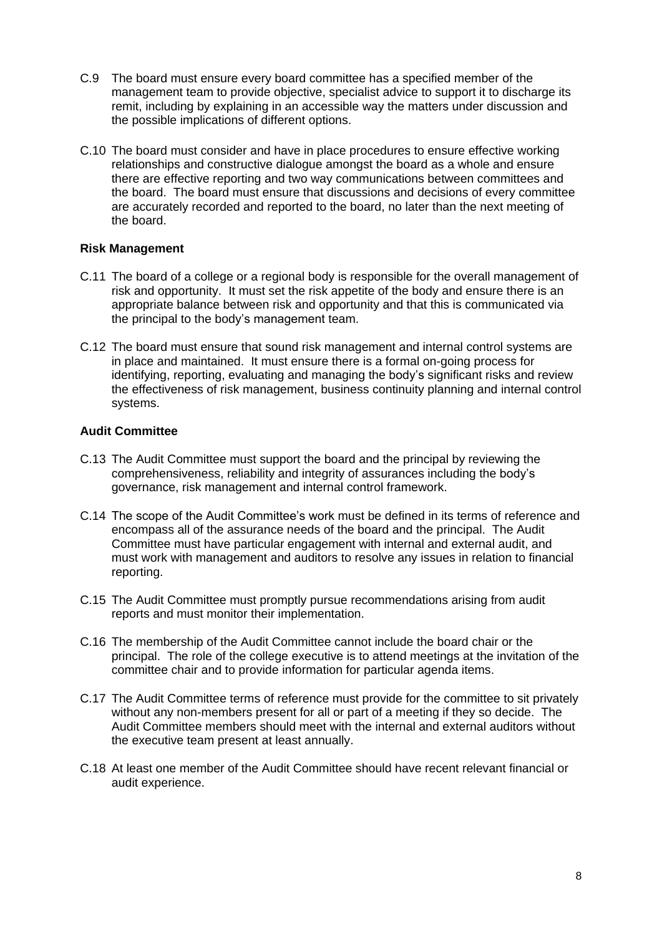- C.9 The board must ensure every board committee has a specified member of the management team to provide objective, specialist advice to support it to discharge its remit, including by explaining in an accessible way the matters under discussion and the possible implications of different options.
- C.10 The board must consider and have in place procedures to ensure effective working relationships and constructive dialogue amongst the board as a whole and ensure there are effective reporting and two way communications between committees and the board. The board must ensure that discussions and decisions of every committee are accurately recorded and reported to the board, no later than the next meeting of the board.

#### **Risk Management**

- C.11 The board of a college or a regional body is responsible for the overall management of risk and opportunity. It must set the risk appetite of the body and ensure there is an appropriate balance between risk and opportunity and that this is communicated via the principal to the body's management team.
- C.12 The board must ensure that sound risk management and internal control systems are in place and maintained. It must ensure there is a formal on-going process for identifying, reporting, evaluating and managing the body's significant risks and review the effectiveness of risk management, business continuity planning and internal control systems.

# **Audit Committee**

- C.13 The Audit Committee must support the board and the principal by reviewing the comprehensiveness, reliability and integrity of assurances including the body's governance, risk management and internal control framework.
- C.14 The scope of the Audit Committee's work must be defined in its terms of reference and encompass all of the assurance needs of the board and the principal. The Audit Committee must have particular engagement with internal and external audit, and must work with management and auditors to resolve any issues in relation to financial reporting.
- C.15 The Audit Committee must promptly pursue recommendations arising from audit reports and must monitor their implementation.
- C.16 The membership of the Audit Committee cannot include the board chair or the principal. The role of the college executive is to attend meetings at the invitation of the committee chair and to provide information for particular agenda items.
- C.17 The Audit Committee terms of reference must provide for the committee to sit privately without any non-members present for all or part of a meeting if they so decide. The Audit Committee members should meet with the internal and external auditors without the executive team present at least annually.
- C.18 At least one member of the Audit Committee should have recent relevant financial or audit experience.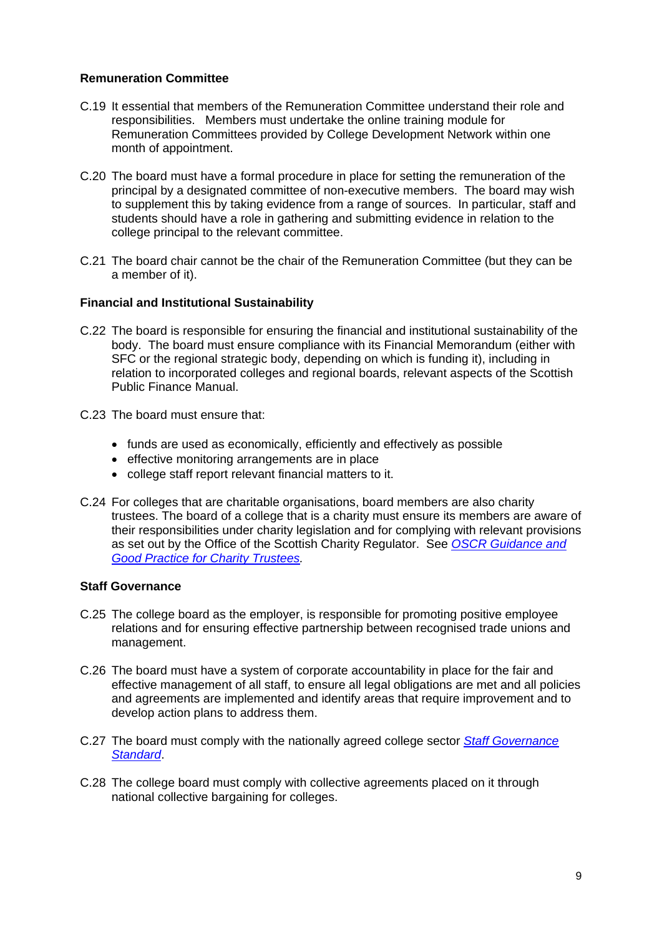#### **Remuneration Committee**

- C.19 It essential that members of the Remuneration Committee understand their role and responsibilities. Members must undertake the online training module for Remuneration Committees provided by College Development Network within one month of appointment.
- C.20 The board must have a formal procedure in place for setting the remuneration of the principal by a designated committee of non-executive members. The board may wish to supplement this by taking evidence from a range of sources. In particular, staff and students should have a role in gathering and submitting evidence in relation to the college principal to the relevant committee.
- C.21 The board chair cannot be the chair of the Remuneration Committee (but they can be a member of it).

#### **Financial and Institutional Sustainability**

- C.22 The board is responsible for ensuring the financial and institutional sustainability of the body. The board must ensure compliance with its Financial Memorandum (either with SFC or the regional strategic body, depending on which is funding it), including in relation to incorporated colleges and regional boards, relevant aspects of the Scottish Public Finance Manual.
- C.23 The board must ensure that:
	- funds are used as economically, efficiently and effectively as possible
	- effective monitoring arrangements are in place
	- college staff report relevant financial matters to it.
- C.24 For colleges that are charitable organisations, board members are also charity trustees. The board of a college that is a charity must ensure its members are aware of their responsibilities under charity legislation and for complying with relevant provisions as set out by the Office of the Scottish Charity Regulator. See *[OSCR Guidance and](http://www.oscr.org.uk/charities/guidance/guidance-and-good-practice-for-charity-trustees)  [Good Practice for Charity Trustees.](http://www.oscr.org.uk/charities/guidance/guidance-and-good-practice-for-charity-trustees)*

#### **Staff Governance**

- C.25 The college board as the employer, is responsible for promoting positive employee relations and for ensuring effective partnership between recognised trade unions and management.
- C.26 The board must have a system of corporate accountability in place for the fair and effective management of all staff, to ensure all legal obligations are met and all policies and agreements are implemented and identify areas that require improvement and to develop action plans to address them.
- C.27 The board must comply with the nationally agreed college sector *[Staff Governance](http://www.collegedevelopmentnetwork.ac.uk/wp-content/uploads/2016/07/Staff-Governance-Standard.pdf)  [Standard](http://www.collegedevelopmentnetwork.ac.uk/wp-content/uploads/2016/07/Staff-Governance-Standard.pdf)*.
- C.28 The college board must comply with collective agreements placed on it through national collective bargaining for colleges.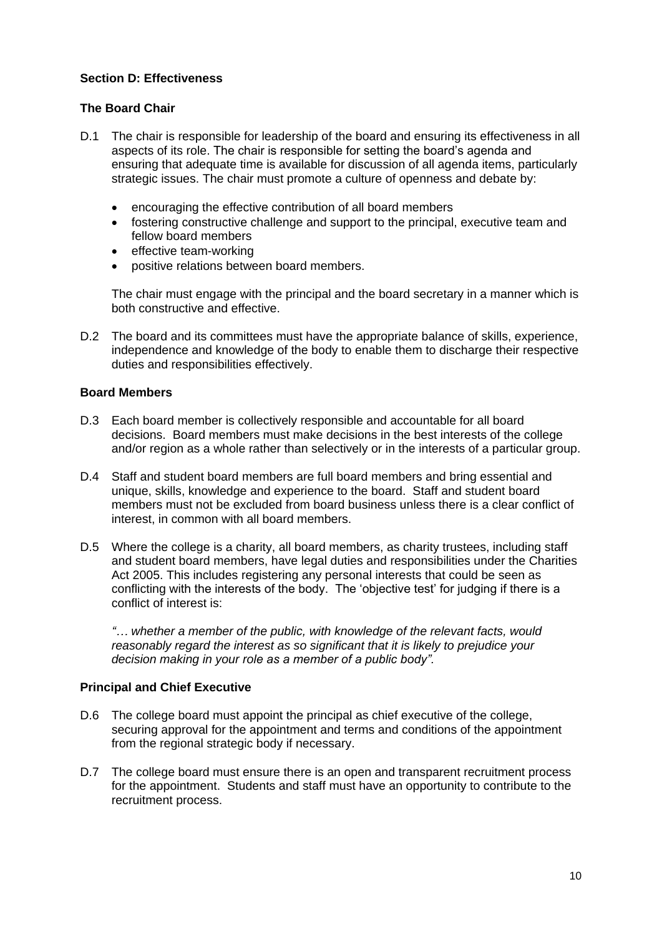# **Section D: Effectiveness**

#### **The Board Chair**

- D.1 The chair is responsible for leadership of the board and ensuring its effectiveness in all aspects of its role. The chair is responsible for setting the board's agenda and ensuring that adequate time is available for discussion of all agenda items, particularly strategic issues. The chair must promote a culture of openness and debate by:
	- encouraging the effective contribution of all board members
	- fostering constructive challenge and support to the principal, executive team and fellow board members
	- effective team-working
	- positive relations between board members.

The chair must engage with the principal and the board secretary in a manner which is both constructive and effective.

D.2 The board and its committees must have the appropriate balance of skills, experience, independence and knowledge of the body to enable them to discharge their respective duties and responsibilities effectively.

#### **Board Members**

- D.3 Each board member is collectively responsible and accountable for all board decisions. Board members must make decisions in the best interests of the college and/or region as a whole rather than selectively or in the interests of a particular group.
- D.4 Staff and student board members are full board members and bring essential and unique, skills, knowledge and experience to the board. Staff and student board members must not be excluded from board business unless there is a clear conflict of interest, in common with all board members.
- D.5 Where the college is a charity, all board members, as charity trustees, including staff and student board members, have legal duties and responsibilities under the Charities Act 2005. This includes registering any personal interests that could be seen as conflicting with the interests of the body. The 'objective test' for judging if there is a conflict of interest is:

*"… whether a member of the public, with knowledge of the relevant facts, would reasonably regard the interest as so significant that it is likely to prejudice your decision making in your role as a member of a public body".*

#### **Principal and Chief Executive**

- D.6 The college board must appoint the principal as chief executive of the college, securing approval for the appointment and terms and conditions of the appointment from the regional strategic body if necessary.
- D.7 The college board must ensure there is an open and transparent recruitment process for the appointment. Students and staff must have an opportunity to contribute to the recruitment process.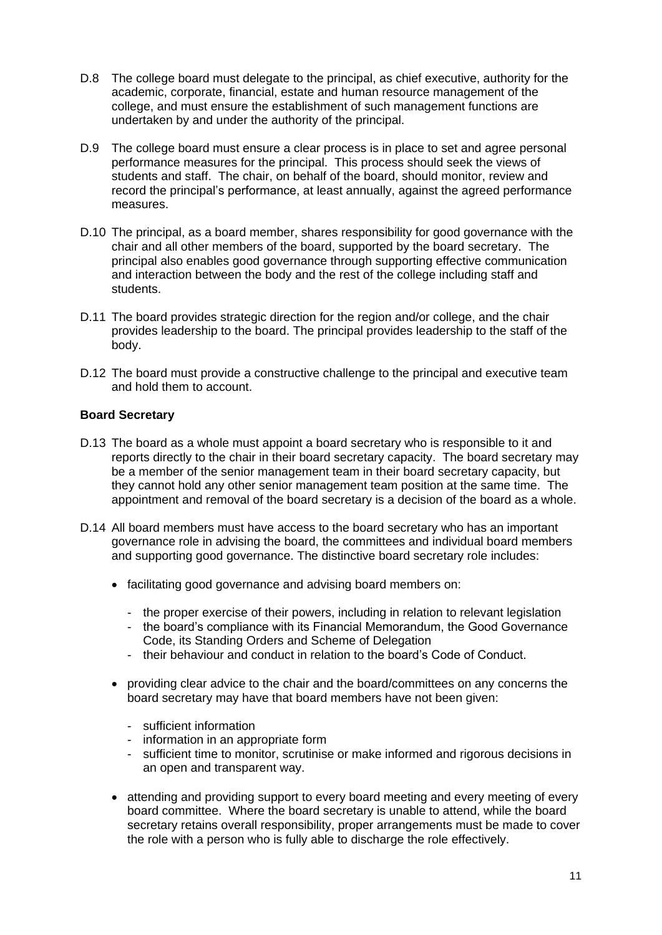- D.8 The college board must delegate to the principal, as chief executive, authority for the academic, corporate, financial, estate and human resource management of the college, and must ensure the establishment of such management functions are undertaken by and under the authority of the principal.
- D.9 The college board must ensure a clear process is in place to set and agree personal performance measures for the principal. This process should seek the views of students and staff. The chair, on behalf of the board, should monitor, review and record the principal's performance, at least annually, against the agreed performance measures.
- D.10 The principal, as a board member, shares responsibility for good governance with the chair and all other members of the board, supported by the board secretary. The principal also enables good governance through supporting effective communication and interaction between the body and the rest of the college including staff and students.
- D.11 The board provides strategic direction for the region and/or college, and the chair provides leadership to the board. The principal provides leadership to the staff of the body.
- D.12 The board must provide a constructive challenge to the principal and executive team and hold them to account.

# **Board Secretary**

- D.13 The board as a whole must appoint a board secretary who is responsible to it and reports directly to the chair in their board secretary capacity. The board secretary may be a member of the senior management team in their board secretary capacity, but they cannot hold any other senior management team position at the same time. The appointment and removal of the board secretary is a decision of the board as a whole.
- D.14 All board members must have access to the board secretary who has an important governance role in advising the board, the committees and individual board members and supporting good governance. The distinctive board secretary role includes:
	- facilitating good governance and advising board members on:
		- the proper exercise of their powers, including in relation to relevant legislation
		- the board's compliance with its Financial Memorandum, the Good Governance Code, its Standing Orders and Scheme of Delegation
		- their behaviour and conduct in relation to the board's Code of Conduct.
	- providing clear advice to the chair and the board/committees on any concerns the board secretary may have that board members have not been given:
		- sufficient information
		- information in an appropriate form
		- sufficient time to monitor, scrutinise or make informed and rigorous decisions in an open and transparent way.
	- attending and providing support to every board meeting and every meeting of every board committee. Where the board secretary is unable to attend, while the board secretary retains overall responsibility, proper arrangements must be made to cover the role with a person who is fully able to discharge the role effectively.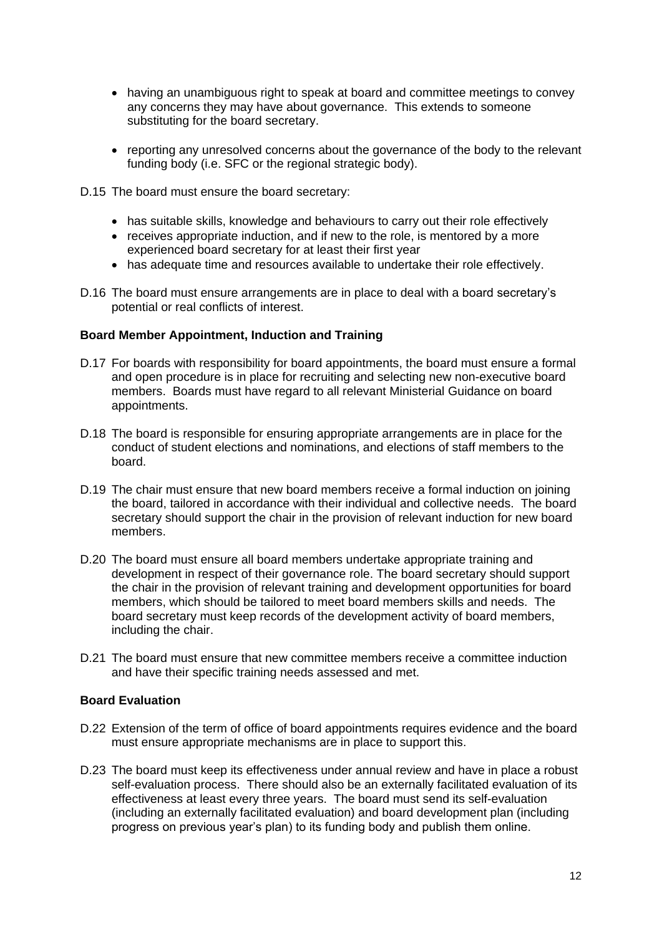- having an unambiguous right to speak at board and committee meetings to convey any concerns they may have about governance. This extends to someone substituting for the board secretary.
- reporting any unresolved concerns about the governance of the body to the relevant funding body (i.e. SFC or the regional strategic body).

D.15 The board must ensure the board secretary:

- has suitable skills, knowledge and behaviours to carry out their role effectively
- receives appropriate induction, and if new to the role, is mentored by a more experienced board secretary for at least their first year
- has adequate time and resources available to undertake their role effectively.
- D.16 The board must ensure arrangements are in place to deal with a board secretary's potential or real conflicts of interest.

#### **Board Member Appointment, Induction and Training**

- D.17 For boards with responsibility for board appointments, the board must ensure a formal and open procedure is in place for recruiting and selecting new non-executive board members. Boards must have regard to all relevant Ministerial Guidance on board appointments.
- D.18 The board is responsible for ensuring appropriate arrangements are in place for the conduct of student elections and nominations, and elections of staff members to the board.
- D.19 The chair must ensure that new board members receive a formal induction on joining the board, tailored in accordance with their individual and collective needs. The board secretary should support the chair in the provision of relevant induction for new board members.
- D.20 The board must ensure all board members undertake appropriate training and development in respect of their governance role. The board secretary should support the chair in the provision of relevant training and development opportunities for board members, which should be tailored to meet board members skills and needs. The board secretary must keep records of the development activity of board members, including the chair.
- D.21 The board must ensure that new committee members receive a committee induction and have their specific training needs assessed and met.

### **Board Evaluation**

- D.22 Extension of the term of office of board appointments requires evidence and the board must ensure appropriate mechanisms are in place to support this.
- D.23 The board must keep its effectiveness under annual review and have in place a robust self-evaluation process. There should also be an externally facilitated evaluation of its effectiveness at least every three years. The board must send its self-evaluation (including an externally facilitated evaluation) and board development plan (including progress on previous year's plan) to its funding body and publish them online.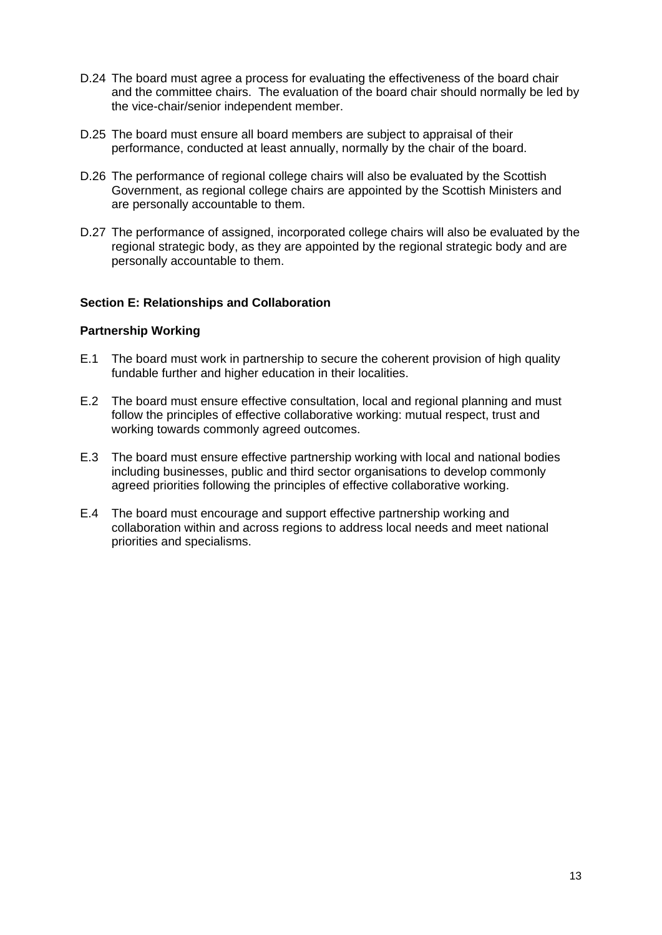- D.24 The board must agree a process for evaluating the effectiveness of the board chair and the committee chairs. The evaluation of the board chair should normally be led by the vice-chair/senior independent member.
- D.25 The board must ensure all board members are subject to appraisal of their performance, conducted at least annually, normally by the chair of the board.
- D.26 The performance of regional college chairs will also be evaluated by the Scottish Government, as regional college chairs are appointed by the Scottish Ministers and are personally accountable to them.
- D.27 The performance of assigned, incorporated college chairs will also be evaluated by the regional strategic body, as they are appointed by the regional strategic body and are personally accountable to them.

#### **Section E: Relationships and Collaboration**

#### **Partnership Working**

- E.1 The board must work in partnership to secure the coherent provision of high quality fundable further and higher education in their localities.
- E.2 The board must ensure effective consultation, local and regional planning and must follow the principles of effective collaborative working: mutual respect, trust and working towards commonly agreed outcomes.
- E.3 The board must ensure effective partnership working with local and national bodies including businesses, public and third sector organisations to develop commonly agreed priorities following the principles of effective collaborative working.
- E.4 The board must encourage and support effective partnership working and collaboration within and across regions to address local needs and meet national priorities and specialisms.